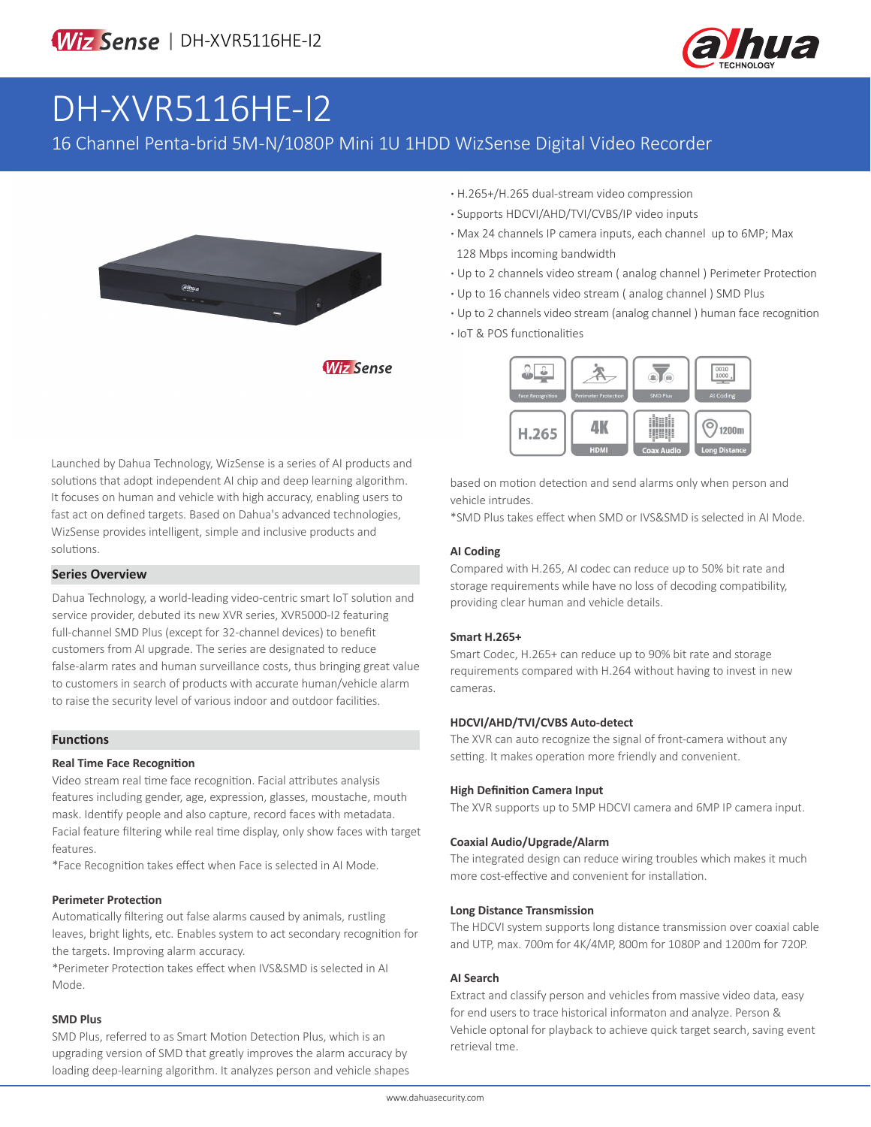

# DH-XVR5116HE-I2

16 Channel Penta-brid 5M-N/1080P Mini 1U 1HDD WizSense Digital Video Recorder



**·** H.265+/H.265 dual-stream video compression

- **·** Supports HDCVI/AHD/TVI/CVBS/IP video inputs
- **·** Max 24 channels IP camera inputs, each channel up to 6MP; Max 128 Mbps incoming bandwidth
- **·** Up to 2 channels video stream ( analog channel ) Perimeter Protection
- **·** Up to 16 channels video stream ( analog channel ) SMD Plus
- **·** Up to 2 channels video stream (analog channel ) human face recognition
- **·** IoT & POS functionalities



Launched by Dahua Technology, WizSense is a series of AI products and solutions that adopt independent AI chip and deep learning algorithm. It focuses on human and vehicle with high accuracy, enabling users to fast act on defined targets. Based on Dahua's advanced technologies, WizSense provides intelligent, simple and inclusive products and solutions.

#### **Series Overview**

Dahua Technology, a world-leading video-centric smart IoT solution and service provider, debuted its new XVR series, XVR5000-I2 featuring full-channel SMD Plus (except for 32-channel devices) to benefit customers from AI upgrade. The series are designated to reduce false-alarm rates and human surveillance costs, thus bringing great value to customers in search of products with accurate human/vehicle alarm to raise the security level of various indoor and outdoor facilities.

#### **Functions**

#### **Real Time Face Recognition**

Video stream real time face recognition. Facial attributes analysis features including gender, age, expression, glasses, moustache, mouth mask. Identify people and also capture, record faces with metadata. Facial feature filtering while real time display, only show faces with target features.

\*Face Recognition takes effect when Face is selected in AI Mode.

#### **Perimeter Protection**

Automatically filtering out false alarms caused by animals, rustling leaves, bright lights, etc. Enables system to act secondary recognition for the targets. Improving alarm accuracy.

\*Perimeter Protection takes effect when IVS&SMD is selected in AI Mode.

#### **SMD Plus**

SMD Plus, referred to as Smart Motion Detection Plus, which is an upgrading version of SMD that greatly improves the alarm accuracy by loading deep-learning algorithm. It analyzes person and vehicle shapes based on motion detection and send alarms only when person and vehicle intrudes.

\*SMD Plus takes effect when SMD or IVS&SMD is selected in AI Mode.

#### **AI Coding**

Compared with H.265, AI codec can reduce up to 50% bit rate and storage requirements while have no loss of decoding compatibility, providing clear human and vehicle details.

#### **Smart H.265+**

Smart Codec, H.265+ can reduce up to 90% bit rate and storage requirements compared with H.264 without having to invest in new cameras.

#### **HDCVI/AHD/TVI/CVBS Auto-detect**

The XVR can auto recognize the signal of front-camera without any setting. It makes operation more friendly and convenient.

#### **High Definition Camera Input**

The XVR supports up to 5MP HDCVI camera and 6MP IP camera input.

#### **Coaxial Audio/Upgrade/Alarm**

The integrated design can reduce wiring troubles which makes it much more cost-effective and convenient for installation.

#### **Long Distance Transmission**

The HDCVI system supports long distance transmission over coaxial cable and UTP, max. 700m for 4K/4MP, 800m for 1080P and 1200m for 720P.

#### **AI Search**

Extract and classify person and vehicles from massive video data, easy for end users to trace historical informaton and analyze. Person & Vehicle optonal for playback to achieve quick target search, saving event retrieval tme.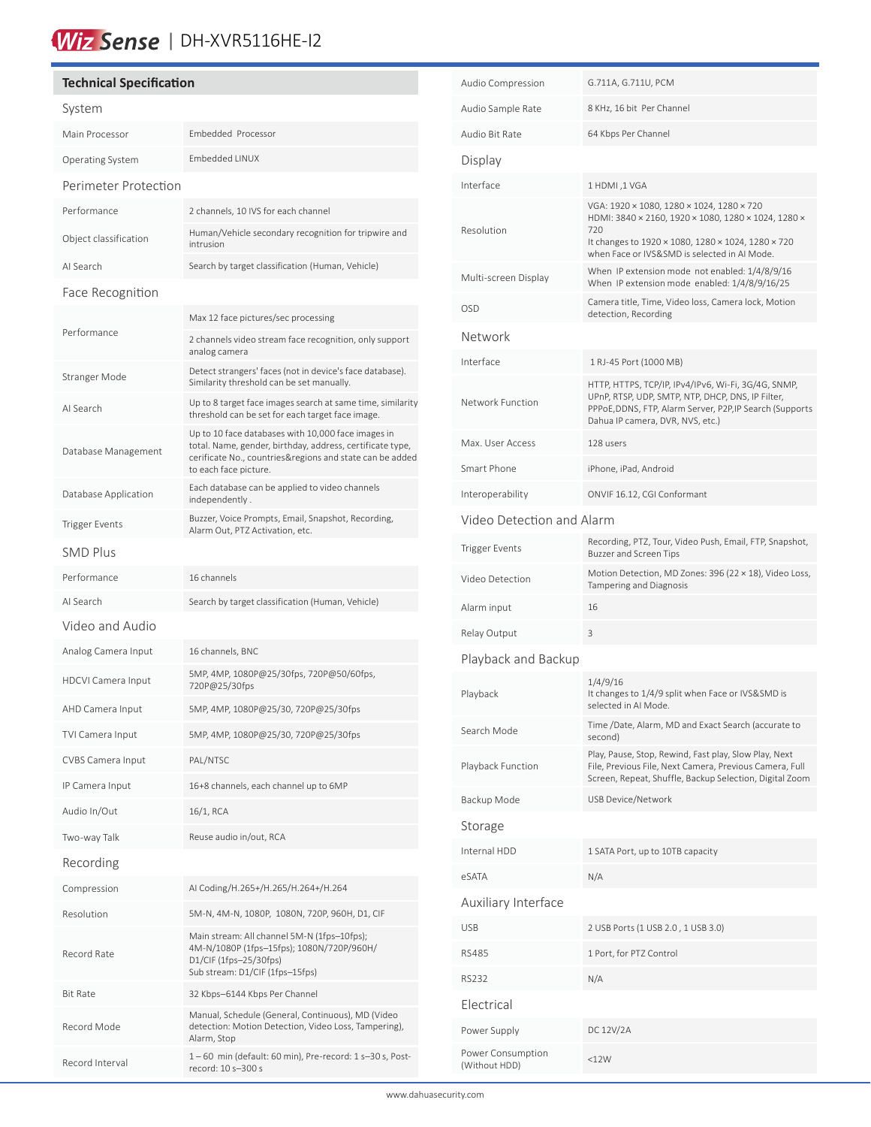## Wiz Sense | DH-XVR5116HE-I2

### **Technical Specification** System Main Processor Embedded Processor Operating System Embedded LINUX Perimeter Protection Performance 2 channels, 10 IVS for each channel Object classification Human/Vehicle secondary recognition for tripwire and intrusion AI Search Search by target classification (Human, Vehicle) Face Recognition Performance Max 12 face pictures/sec processing 2 channels video stream face recognition, only support analog camera Stranger Mode Detect strangers' faces (not in device's face database). Similarity threshold can be set manually. AI Search Up to 8 target face images search at same time, similarity threshold can be set for each target face image. Database Management Up to 10 face databases with 10,000 face images in total. Name, gender, birthday, address, certificate type, cerificate No., countries&regions and state can be added to each face picture. Database Application Each database can be applied to video channels independently . Trigger Events<br>Alarm Out, PT7 Astivation ate Alarm Out, PTZ Activation, etc. SMD Plus Performance 16 channels AI Search Search by target classification (Human, Vehicle) Video and Audio Analog Camera Input 16 channels, BNC HDCVI Camera Input 5MP, 4MP, 1080P@25/30fps, 720P@50/60fps, 720P@25/30fps AHD Camera Input 5MP, 4MP, 1080P@25/30, 720P@25/30fps TVI Camera Input 5MP, 4MP, 1080P@25/30, 720P@25/30fps CVBS Camera Input PAL/NTSC IP Camera Input 16+8 channels, each channel up to 6MP Audio In/Out 16/1, RCA Two-way Talk Reuse audio in/out, RCA Recording Compression AI Coding/H.265+/H.265/H.264+/H.264 Resolution 5M-N, 4M-N, 1080P, 1080N, 720P, 960H, D1, CIF Record Rate Main stream: All channel 5M-N (1fps–10fps); 4M-N/1080P (1fps–15fps); 1080N/720P/960H/ D1/CIF (1fps–25/30fps) Sub stream: D1/CIF (1fps–15fps) Bit Rate 32 Kbps–6144 Kbps Per Channel Record Mode Manual, Schedule (General, Continuous), MD (Video detection: Motion Detection, Video Loss, Tampering), Alarm, Stop Record Interval  $1 - 60$  min (default: 60 min), Pre-record:  $1 s - 30 s$ , Postrecord: 10 s–300 s

í

| Audio Compression                  | G.711A, G.711U, PCM                                                                                                                                                                                      |  |  |
|------------------------------------|----------------------------------------------------------------------------------------------------------------------------------------------------------------------------------------------------------|--|--|
| Audio Sample Rate                  | 8 KHz, 16 bit Per Channel                                                                                                                                                                                |  |  |
| Audio Bit Rate                     | 64 Kbps Per Channel                                                                                                                                                                                      |  |  |
| Display                            |                                                                                                                                                                                                          |  |  |
| Interface                          | 1 HDMI, 1 VGA                                                                                                                                                                                            |  |  |
| Resolution                         | VGA: 1920 × 1080, 1280 × 1024, 1280 × 720<br>HDMI: 3840 × 2160, 1920 × 1080, 1280 × 1024, 1280 ×<br>720                                                                                                  |  |  |
|                                    | It changes to 1920 × 1080, 1280 × 1024, 1280 × 720<br>when Face or IVS&SMD is selected in AI Mode.                                                                                                       |  |  |
| Multi-screen Display               | When IP extension mode not enabled: 1/4/8/9/16<br>When IP extension mode enabled: 1/4/8/9/16/25                                                                                                          |  |  |
| <b>OSD</b>                         | Camera title, Time, Video loss, Camera lock, Motion<br>detection, Recording                                                                                                                              |  |  |
| Network                            |                                                                                                                                                                                                          |  |  |
| Interface                          | 1 RJ-45 Port (1000 MB)                                                                                                                                                                                   |  |  |
| Network Function                   | HTTP, HTTPS, TCP/IP, IPv4/IPv6, Wi-Fi, 3G/4G, SNMP,<br>UPnP, RTSP, UDP, SMTP, NTP, DHCP, DNS, IP Filter,<br>PPPoE, DDNS, FTP, Alarm Server, P2P, IP Search (Supports<br>Dahua IP camera, DVR, NVS, etc.) |  |  |
| Max. User Access                   | 128 users                                                                                                                                                                                                |  |  |
| Smart Phone                        | iPhone, iPad, Android                                                                                                                                                                                    |  |  |
| Interoperability                   | ONVIF 16.12, CGI Conformant                                                                                                                                                                              |  |  |
| Video Detection and Alarm          |                                                                                                                                                                                                          |  |  |
| Trigger Events                     | Recording, PTZ, Tour, Video Push, Email, FTP, Snapshot,<br><b>Buzzer and Screen Tips</b>                                                                                                                 |  |  |
| Video Detection                    | Motion Detection, MD Zones: 396 (22 × 18), Video Loss,<br>Tampering and Diagnosis                                                                                                                        |  |  |
| Alarm input                        | 16                                                                                                                                                                                                       |  |  |
| Relay Output                       | 3                                                                                                                                                                                                        |  |  |
| Playback and Backup                |                                                                                                                                                                                                          |  |  |
| Playback                           | 1/4/9/16<br>It changes to 1/4/9 split when Face or IVS&SMD is<br>selected in AI Mode.                                                                                                                    |  |  |
| Search Mode                        | Time /Date, Alarm, MD and Exact Search (accurate to<br>second)                                                                                                                                           |  |  |
| Playback Function                  | Play, Pause, Stop, Rewind, Fast play, Slow Play, Next<br>File, Previous File, Next Camera, Previous Camera, Full<br>Screen, Repeat, Shuffle, Backup Selection, Digital Zoom                              |  |  |
| Backup Mode                        | <b>USB Device/Network</b>                                                                                                                                                                                |  |  |
| Storage                            |                                                                                                                                                                                                          |  |  |
| Internal HDD                       | 1 SATA Port, up to 10TB capacity                                                                                                                                                                         |  |  |
| eSATA                              | N/A                                                                                                                                                                                                      |  |  |
| Auxiliary Interface                |                                                                                                                                                                                                          |  |  |
| <b>USB</b>                         | 2 USB Ports (1 USB 2.0, 1 USB 3.0)                                                                                                                                                                       |  |  |
| <b>RS485</b>                       | 1 Port, for PTZ Control                                                                                                                                                                                  |  |  |
| <b>RS232</b>                       | N/A                                                                                                                                                                                                      |  |  |
| Electrical                         |                                                                                                                                                                                                          |  |  |
| Power Supply                       | DC 12V/2A                                                                                                                                                                                                |  |  |
| Power Consumption<br>(Without HDD) | <12W                                                                                                                                                                                                     |  |  |